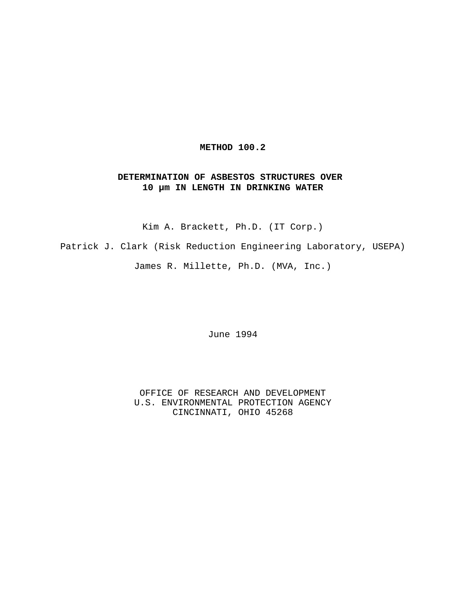# **METHOD 100.2**

# **DETERMINATION OF ASBESTOS STRUCTURES OVER 10 µm IN LENGTH IN DRINKING WATER**

Kim A. Brackett, Ph.D. (IT Corp.)

Patrick J. Clark (Risk Reduction Engineering Laboratory, USEPA)

James R. Millette, Ph.D. (MVA, Inc.)

June 1994

OFFICE OF RESEARCH AND DEVELOPMENT U.S. ENVIRONMENTAL PROTECTION AGENCY CINCINNATI, OHIO 45268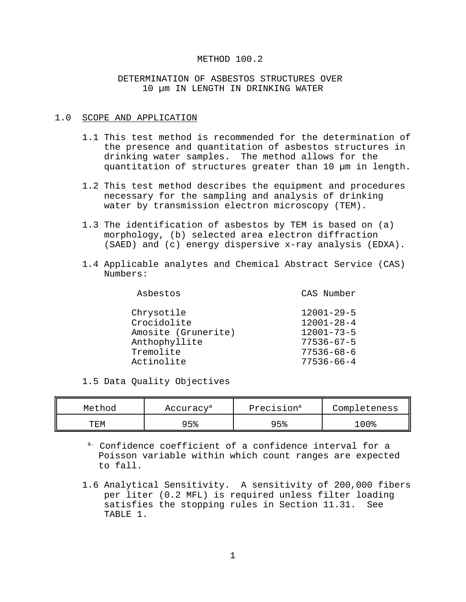## METHOD 100.2

# DETERMINATION OF ASBESTOS STRUCTURES OVER 10 µm IN LENGTH IN DRINKING WATER

### 1.0 SCOPE AND APPLICATION

- 1.1 This test method is recommended for the determination of the presence and quantitation of asbestos structures in drinking water samples. The method allows for the quantitation of structures greater than 10 µm in length.
- 1.2 This test method describes the equipment and procedures necessary for the sampling and analysis of drinking water by transmission electron microscopy (TEM).
- 1.3 The identification of asbestos by TEM is based on (a) morphology, (b) selected area electron diffraction (SAED) and (c) energy dispersive x-ray analysis (EDXA).
- 1.4 Applicable analytes and Chemical Abstract Service (CAS) Numbers:

| Asbestos            | CAS Number       |
|---------------------|------------------|
| Chrysotile          | $12001 - 29 - 5$ |
| Crocidolite         | $12001 - 28 - 4$ |
| Amosite (Grunerite) | $12001 - 73 - 5$ |
| Anthophyllite       | $77536 - 67 - 5$ |
| Tremolite           | $77536 - 68 - 6$ |
| Actinolite          | $77536 - 66 - 4$ |
|                     |                  |

1.5 Data Quality Objectives

| Method | Accuracy <sup>a</sup> | Precision <sup>a</sup> | Completeness |
|--------|-----------------------|------------------------|--------------|
| TEM    | 95%                   | QF2                    | ∘ ∩ ∩ ∘      |

a. Confidence coefficient of a confidence interval for a Poisson variable within which count ranges are expected to fall.

1.6 Analytical Sensitivity. A sensitivity of 200,000 fibers per liter (0.2 MFL) is required unless filter loading satisfies the stopping rules in Section 11.31. See TABLE 1.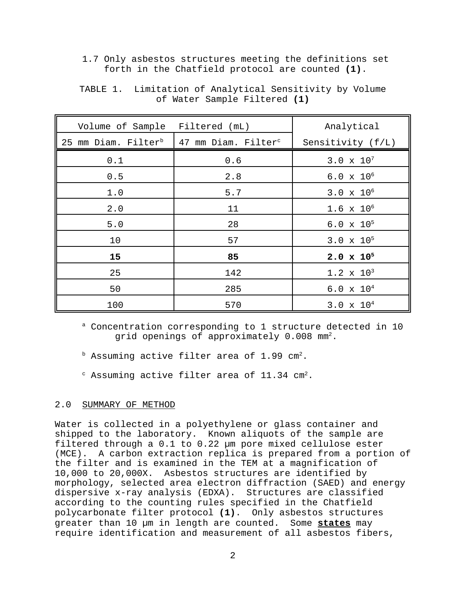1.7 Only asbestos structures meeting the definitions set forth in the Chatfield protocol are counted **(1)**.

| Volume of Sample                | Filtered (mL)                   | Analytical          |
|---------------------------------|---------------------------------|---------------------|
| 25 mm Diam. Filter <sup>b</sup> | 47 mm Diam. Filter <sup>c</sup> | Sensitivity (f/L)   |
| 0.1                             | 0.6                             | $3.0 \times 10^{7}$ |
| 0.5                             | 2.8                             | $6.0 \times 10^{6}$ |
| 1.0                             | 5.7                             | $3.0 \times 10^{6}$ |
| 2.0                             | 11                              | $1.6 \times 10^{6}$ |
| 5.0                             | 28                              | $6.0 \times 10^{5}$ |
| 10                              | 57                              | $3.0 \times 10^{5}$ |
| 15                              | 85                              | $2.0 \times 10^{5}$ |
| 25                              | 142                             | $1.2 \times 10^3$   |
| 50                              | 285                             | $6.0 \times 10^{4}$ |
| 100                             | 570                             | $3.0 \times 10^{4}$ |

TABLE 1. Limitation of Analytical Sensitivity by Volume of Water Sample Filtered **(1)**

a Concentration corresponding to 1 structure detected in 10 grid openings of approximately  $0.008$  mm<sup>2</sup>.

- $b$  Assuming active filter area of 1.99 cm<sup>2</sup>.
- $\textdegree$  Assuming active filter area of 11.34 cm<sup>2</sup>.

#### 2.0 SUMMARY OF METHOD

Water is collected in a polyethylene or glass container and shipped to the laboratory. Known aliquots of the sample are filtered through a 0.1 to 0.22 µm pore mixed cellulose ester (MCE). A carbon extraction replica is prepared from a portion of the filter and is examined in the TEM at a magnification of 10,000 to 20,000X. Asbestos structures are identified by morphology, selected area electron diffraction (SAED) and energy dispersive x-ray analysis (EDXA). Structures are classified according to the counting rules specified in the Chatfield polycarbonate filter protocol **(1)**. Only asbestos structures greater than 10 µm in length are counted. Some **states** may require identification and measurement of all asbestos fibers,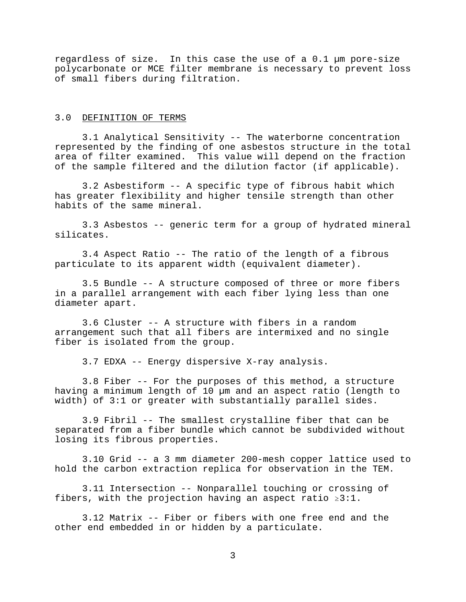regardless of size. In this case the use of a 0.1 µm pore-size polycarbonate or MCE filter membrane is necessary to prevent loss of small fibers during filtration.

## 3.0 DEFINITION OF TERMS

3.1 Analytical Sensitivity -- The waterborne concentration represented by the finding of one asbestos structure in the total area of filter examined. This value will depend on the fraction of the sample filtered and the dilution factor (if applicable).

3.2 Asbestiform -- A specific type of fibrous habit which has greater flexibility and higher tensile strength than other habits of the same mineral.

3.3 Asbestos -- generic term for a group of hydrated mineral silicates.

3.4 Aspect Ratio -- The ratio of the length of a fibrous particulate to its apparent width (equivalent diameter).

3.5 Bundle -- A structure composed of three or more fibers in a parallel arrangement with each fiber lying less than one diameter apart.

3.6 Cluster -- A structure with fibers in a random arrangement such that all fibers are intermixed and no single fiber is isolated from the group.

3.7 EDXA -- Energy dispersive X-ray analysis.

3.8 Fiber -- For the purposes of this method, a structure having a minimum length of 10 µm and an aspect ratio (length to width) of 3:1 or greater with substantially parallel sides.

3.9 Fibril -- The smallest crystalline fiber that can be separated from a fiber bundle which cannot be subdivided without losing its fibrous properties.

3.10 Grid -- a 3 mm diameter 200-mesh copper lattice used to hold the carbon extraction replica for observation in the TEM.

3.11 Intersection -- Nonparallel touching or crossing of fibers, with the projection having an aspect ratio  $\geq 3:1$ .

3.12 Matrix -- Fiber or fibers with one free end and the other end embedded in or hidden by a particulate.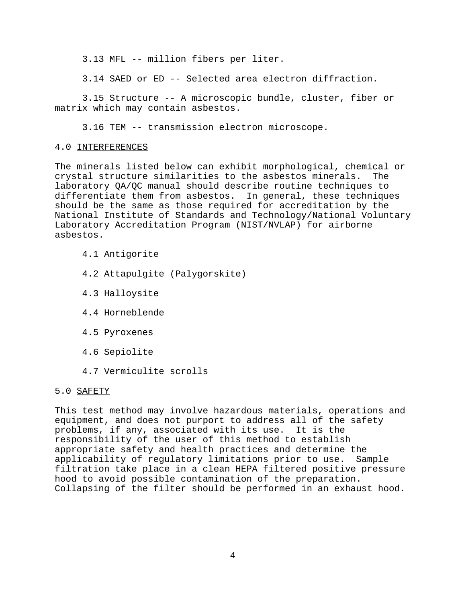3.13 MFL -- million fibers per liter.

3.14 SAED or ED -- Selected area electron diffraction.

3.15 Structure -- A microscopic bundle, cluster, fiber or matrix which may contain asbestos.

3.16 TEM -- transmission electron microscope.

#### 4.0 INTERFERENCES

The minerals listed below can exhibit morphological, chemical or crystal structure similarities to the asbestos minerals. The laboratory QA/QC manual should describe routine techniques to differentiate them from asbestos. In general, these techniques should be the same as those required for accreditation by the National Institute of Standards and Technology/National Voluntary Laboratory Accreditation Program (NIST/NVLAP) for airborne asbestos.

- 4.1 Antigorite
- 4.2 Attapulgite (Palygorskite)
- 4.3 Halloysite
- 4.4 Horneblende
- 4.5 Pyroxenes
- 4.6 Sepiolite
- 4.7 Vermiculite scrolls

## 5.0 SAFETY

This test method may involve hazardous materials, operations and equipment, and does not purport to address all of the safety problems, if any, associated with its use. It is the responsibility of the user of this method to establish appropriate safety and health practices and determine the applicability of regulatory limitations prior to use. Sample filtration take place in a clean HEPA filtered positive pressure hood to avoid possible contamination of the preparation. Collapsing of the filter should be performed in an exhaust hood.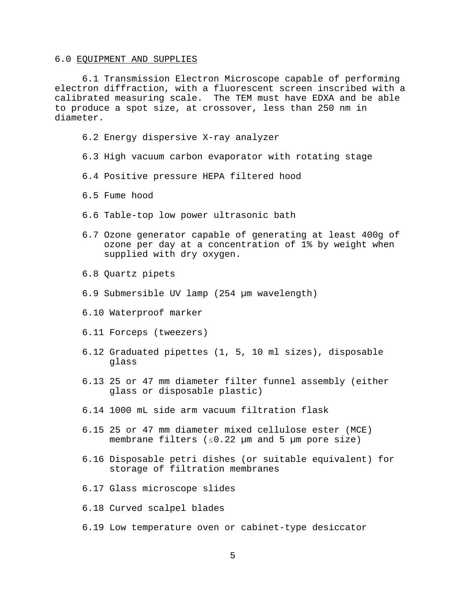#### 6.0 EQUIPMENT AND SUPPLIES

6.1 Transmission Electron Microscope capable of performing electron diffraction, with a fluorescent screen inscribed with a calibrated measuring scale. The TEM must have EDXA and be able to produce a spot size, at crossover, less than 250 nm in diameter.

- 6.2 Energy dispersive X-ray analyzer
- 6.3 High vacuum carbon evaporator with rotating stage
- 6.4 Positive pressure HEPA filtered hood
- 6.5 Fume hood
- 6.6 Table-top low power ultrasonic bath
- 6.7 Ozone generator capable of generating at least 400g of ozone per day at a concentration of 1% by weight when supplied with dry oxygen.
- 6.8 Quartz pipets
- 6.9 Submersible UV lamp (254 µm wavelength)
- 6.10 Waterproof marker
- 6.11 Forceps (tweezers)
- 6.12 Graduated pipettes (1, 5, 10 ml sizes), disposable glass
- 6.13 25 or 47 mm diameter filter funnel assembly (either glass or disposable plastic)
- 6.14 1000 mL side arm vacuum filtration flask
- 6.15 25 or 47 mm diameter mixed cellulose ester (MCE) membrane filters  $(s0.22 \text{ µm} \text{ and } 5 \text{ µm} \text{ pore size})$
- 6.16 Disposable petri dishes (or suitable equivalent) for storage of filtration membranes
- 6.17 Glass microscope slides
- 6.18 Curved scalpel blades
- 6.19 Low temperature oven or cabinet-type desiccator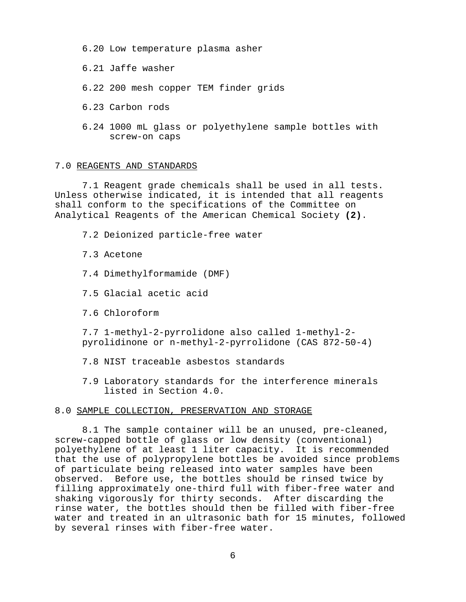- 6.20 Low temperature plasma asher
- 6.21 Jaffe washer
- 6.22 200 mesh copper TEM finder grids
- 6.23 Carbon rods
- 6.24 1000 mL glass or polyethylene sample bottles with screw-on caps

#### 7.0 REAGENTS AND STANDARDS

7.1 Reagent grade chemicals shall be used in all tests. Unless otherwise indicated, it is intended that all reagents shall conform to the specifications of the Committee on Analytical Reagents of the American Chemical Society **(2)**.

- 7.2 Deionized particle-free water
- 7.3 Acetone
- 7.4 Dimethylformamide (DMF)
- 7.5 Glacial acetic acid
- 7.6 Chloroform

7.7 1-methyl-2-pyrrolidone also called 1-methyl-2 pyrolidinone or n-methyl-2-pyrrolidone (CAS 872-50-4)

- 7.8 NIST traceable asbestos standards
- 7.9 Laboratory standards for the interference minerals listed in Section 4.0.

## 8.0 SAMPLE COLLECTION, PRESERVATION AND STORAGE

8.1 The sample container will be an unused, pre-cleaned, screw-capped bottle of glass or low density (conventional) polyethylene of at least 1 liter capacity. It is recommended that the use of polypropylene bottles be avoided since problems of particulate being released into water samples have been observed. Before use, the bottles should be rinsed twice by filling approximately one-third full with fiber-free water and shaking vigorously for thirty seconds. After discarding the rinse water, the bottles should then be filled with fiber-free water and treated in an ultrasonic bath for 15 minutes, followed by several rinses with fiber-free water.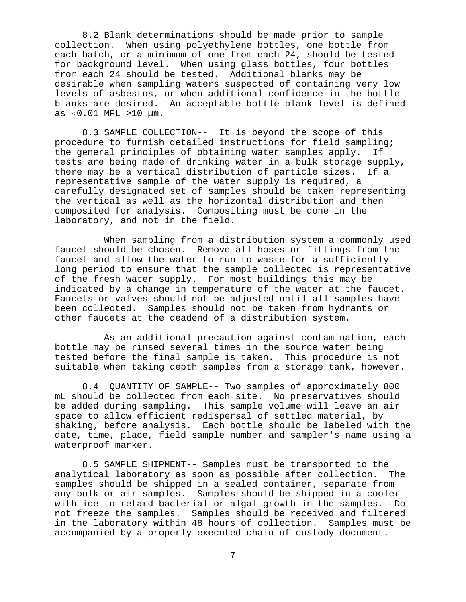8.2 Blank determinations should be made prior to sample collection. When using polyethylene bottles, one bottle from each batch, or a minimum of one from each 24, should be tested for background level. When using glass bottles, four bottles from each 24 should be tested. Additional blanks may be desirable when sampling waters suspected of containing very low levels of asbestos, or when additional confidence in the bottle blanks are desired. An acceptable bottle blank level is defined as  $\leq 0.01$  MFL >10  $\mu$ m.

8.3 SAMPLE COLLECTION-- It is beyond the scope of this procedure to furnish detailed instructions for field sampling; the general principles of obtaining water samples apply. If tests are being made of drinking water in a bulk storage supply, there may be a vertical distribution of particle sizes. If a representative sample of the water supply is required, a carefully designated set of samples should be taken representing the vertical as well as the horizontal distribution and then composited for analysis. Compositing must be done in the laboratory, and not in the field.

 When sampling from a distribution system a commonly used faucet should be chosen. Remove all hoses or fittings from the faucet and allow the water to run to waste for a sufficiently long period to ensure that the sample collected is representative of the fresh water supply. For most buildings this may be indicated by a change in temperature of the water at the faucet. Faucets or valves should not be adjusted until all samples have been collected. Samples should not be taken from hydrants or other faucets at the deadend of a distribution system.

 As an additional precaution against contamination, each bottle may be rinsed several times in the source water being tested before the final sample is taken. This procedure is not suitable when taking depth samples from a storage tank, however.

8.4 QUANTITY OF SAMPLE-- Two samples of approximately 800 mL should be collected from each site. No preservatives should be added during sampling. This sample volume will leave an air space to allow efficient redispersal of settled material, by shaking, before analysis. Each bottle should be labeled with the date, time, place, field sample number and sampler's name using a waterproof marker.

8.5 SAMPLE SHIPMENT-- Samples must be transported to the analytical laboratory as soon as possible after collection. The samples should be shipped in a sealed container, separate from any bulk or air samples. Samples should be shipped in a cooler with ice to retard bacterial or algal growth in the samples. Do not freeze the samples. Samples should be received and filtered in the laboratory within 48 hours of collection. Samples must be accompanied by a properly executed chain of custody document.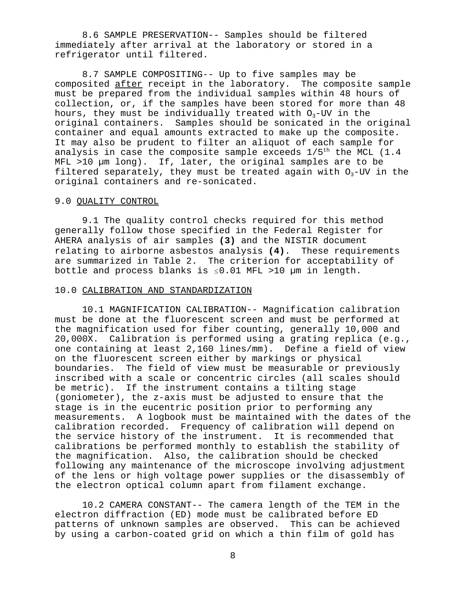8.6 SAMPLE PRESERVATION-- Samples should be filtered immediately after arrival at the laboratory or stored in a refrigerator until filtered.

8.7 SAMPLE COMPOSITING-- Up to five samples may be composited after receipt in the laboratory. The composite sample must be prepared from the individual samples within 48 hours of collection, or, if the samples have been stored for more than 48 hours, they must be individually treated with  $O_3$ -UV in the original containers. Samples should be sonicated in the original container and equal amounts extracted to make up the composite. It may also be prudent to filter an aliquot of each sample for analysis in case the composite sample exceeds  $1/5<sup>th</sup>$  the MCL (1.4 MFL >10 µm long). If, later, the original samples are to be filtered separately, they must be treated again with  $O_3$ -UV in the original containers and re-sonicated.

## 9.0 QUALITY CONTROL

9.1 The quality control checks required for this method generally follow those specified in the Federal Register for AHERA analysis of air samples **(3)** and the NISTIR document relating to airborne asbestos analysis **(4)**. These requirements are summarized in Table 2. The criterion for acceptability of bottle and process blanks is  $\leq 0.01$  MFL >10 µm in length.

## 10.0 CALIBRATION AND STANDARDIZATION

10.1 MAGNIFICATION CALIBRATION-- Magnification calibration must be done at the fluorescent screen and must be performed at the magnification used for fiber counting, generally 10,000 and 20,000X. Calibration is performed using a grating replica (e.g., one containing at least 2,160 lines/mm). Define a field of view on the fluorescent screen either by markings or physical boundaries. The field of view must be measurable or previously inscribed with a scale or concentric circles (all scales should be metric). If the instrument contains a tilting stage (goniometer), the z-axis must be adjusted to ensure that the stage is in the eucentric position prior to performing any measurements. A logbook must be maintained with the dates of the calibration recorded. Frequency of calibration will depend on the service history of the instrument. It is recommended that calibrations be performed monthly to establish the stability of the magnification. Also, the calibration should be checked following any maintenance of the microscope involving adjustment of the lens or high voltage power supplies or the disassembly of the electron optical column apart from filament exchange.

10.2 CAMERA CONSTANT-- The camera length of the TEM in the electron diffraction (ED) mode must be calibrated before ED patterns of unknown samples are observed. This can be achieved by using a carbon-coated grid on which a thin film of gold has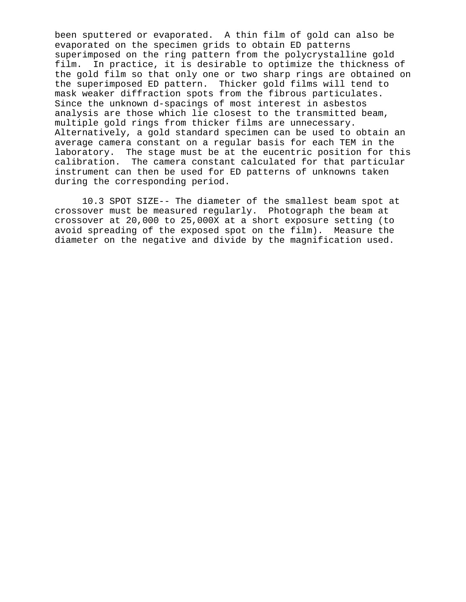been sputtered or evaporated. A thin film of gold can also be evaporated on the specimen grids to obtain ED patterns superimposed on the ring pattern from the polycrystalline gold film. In practice, it is desirable to optimize the thickness of the gold film so that only one or two sharp rings are obtained on the superimposed ED pattern. Thicker gold films will tend to mask weaker diffraction spots from the fibrous particulates. Since the unknown d-spacings of most interest in asbestos analysis are those which lie closest to the transmitted beam, multiple gold rings from thicker films are unnecessary. Alternatively, a gold standard specimen can be used to obtain an average camera constant on a regular basis for each TEM in the laboratory. The stage must be at the eucentric position for this calibration. The camera constant calculated for that particular instrument can then be used for ED patterns of unknowns taken during the corresponding period.

10.3 SPOT SIZE-- The diameter of the smallest beam spot at crossover must be measured regularly. Photograph the beam at crossover at 20,000 to 25,000X at a short exposure setting (to avoid spreading of the exposed spot on the film). Measure the diameter on the negative and divide by the magnification used.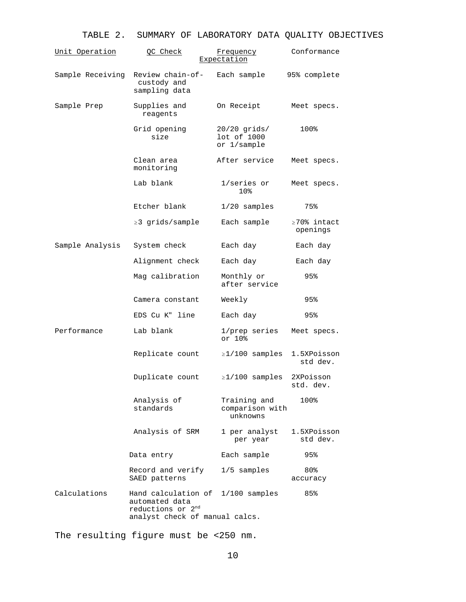# TABLE 2. SUMMARY OF LABORATORY DATA QUALITY OBJECTIVES

| <u>Unit Operation</u> | QC Check                                                                                                               | Frequency<br><u>Expectation</u>              | Conformance                    |
|-----------------------|------------------------------------------------------------------------------------------------------------------------|----------------------------------------------|--------------------------------|
| Sample Receiving      | Review chain-of-<br>custody and<br>sampling data                                                                       | Each sample                                  | 95% complete                   |
| Sample Prep           | Supplies and<br>reagents                                                                                               | On Receipt                                   | Meet specs.                    |
|                       | Grid opening<br>size                                                                                                   | $20/20$ grids/<br>lot of 1000<br>or 1/sample | 100%                           |
|                       | Clean area<br>monitoring                                                                                               | After service                                | Meet specs.                    |
|                       | Lab blank                                                                                                              | 1/series or<br>10%                           | Meet specs.                    |
|                       | Etcher blank                                                                                                           | $1/20$ samples                               | 75%                            |
|                       | ≥3 grids/sample                                                                                                        | Each sample                                  | $\geq 70$ % intact<br>openings |
| Sample Analysis       | System check                                                                                                           | Each day                                     | Each day                       |
|                       | Alignment check                                                                                                        | Each day                                     | Each day                       |
|                       | Mag calibration                                                                                                        | Monthly or<br>after service                  | 95%                            |
|                       | Camera constant                                                                                                        | Weekly                                       | 95%                            |
|                       | EDS Cu K" line                                                                                                         | Each day                                     | 95%                            |
| Performance           | Lab blank                                                                                                              | 1/prep series<br>or 10%                      | Meet specs.                    |
|                       | Replicate count                                                                                                        | $\geq$ 1/100 samples                         | 1.5XPoisson<br>std dev.        |
|                       | Duplicate count                                                                                                        | $\geq$ 1/100 samples                         | 2XPoisson<br>std. dev.         |
|                       | Analysis of<br>standards                                                                                               | Training and<br>comparison with<br>unknowns  | 100%                           |
|                       | Analysis of SRM                                                                                                        | 1 per analyst<br>per year                    | 1.5XPoisson<br>std dev.        |
|                       | Data entry                                                                                                             | Each sample                                  | 95%                            |
|                       | Record and verify<br>SAED patterns                                                                                     | $1/5$ samples                                | 80%<br>accuracy                |
| Calculations          | Hand calculation of 1/100 samples<br>automated data<br>reductions or 2 <sup>nd</sup><br>analyst check of manual calcs. |                                              | 85%                            |

The resulting figure must be <250 nm.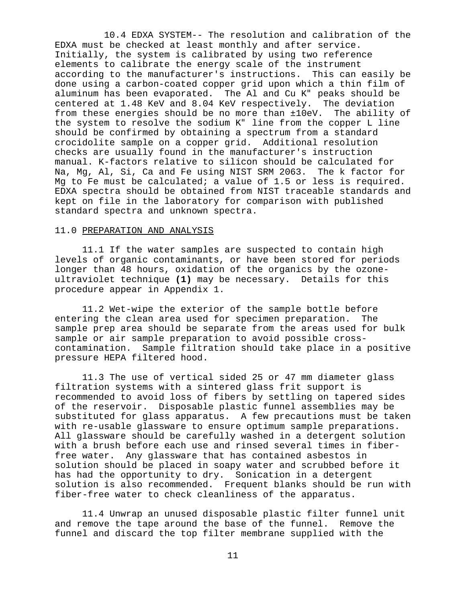10.4 EDXA SYSTEM-- The resolution and calibration of the EDXA must be checked at least monthly and after service. Initially, the system is calibrated by using two reference elements to calibrate the energy scale of the instrument according to the manufacturer's instructions. This can easily be done using a carbon-coated copper grid upon which a thin film of aluminum has been evaporated. The Al and Cu K" peaks should be centered at 1.48 KeV and 8.04 KeV respectively. The deviation from these energies should be no more than ±10eV. The ability of the system to resolve the sodium K" line from the copper L line should be confirmed by obtaining a spectrum from a standard crocidolite sample on a copper grid. Additional resolution checks are usually found in the manufacturer's instruction manual. K-factors relative to silicon should be calculated for Na, Mg, Al, Si, Ca and Fe using NIST SRM 2063. The k factor for Mg to Fe must be calculated; a value of 1.5 or less is required. EDXA spectra should be obtained from NIST traceable standards and kept on file in the laboratory for comparison with published standard spectra and unknown spectra.

## 11.0 PREPARATION AND ANALYSIS

11.1 If the water samples are suspected to contain high levels of organic contaminants, or have been stored for periods longer than 48 hours, oxidation of the organics by the ozoneultraviolet technique **(1)** may be necessary. Details for this procedure appear in Appendix 1.

11.2 Wet-wipe the exterior of the sample bottle before entering the clean area used for specimen preparation. The sample prep area should be separate from the areas used for bulk sample or air sample preparation to avoid possible crosscontamination. Sample filtration should take place in a positive pressure HEPA filtered hood.

11.3 The use of vertical sided 25 or 47 mm diameter glass filtration systems with a sintered glass frit support is recommended to avoid loss of fibers by settling on tapered sides of the reservoir. Disposable plastic funnel assemblies may be substituted for glass apparatus. A few precautions must be taken with re-usable glassware to ensure optimum sample preparations. All glassware should be carefully washed in a detergent solution with a brush before each use and rinsed several times in fiberfree water. Any glassware that has contained asbestos in solution should be placed in soapy water and scrubbed before it has had the opportunity to dry. Sonication in a detergent solution is also recommended. Frequent blanks should be run with fiber-free water to check cleanliness of the apparatus.

11.4 Unwrap an unused disposable plastic filter funnel unit and remove the tape around the base of the funnel. Remove the funnel and discard the top filter membrane supplied with the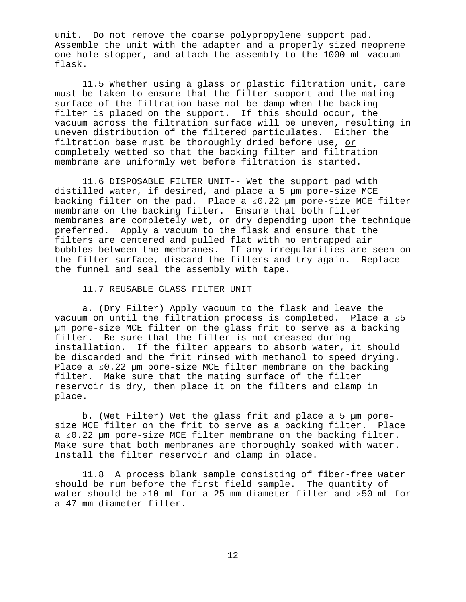unit. Do not remove the coarse polypropylene support pad. Assemble the unit with the adapter and a properly sized neoprene one-hole stopper, and attach the assembly to the 1000 mL vacuum flask.

11.5 Whether using a glass or plastic filtration unit, care must be taken to ensure that the filter support and the mating surface of the filtration base not be damp when the backing filter is placed on the support. If this should occur, the vacuum across the filtration surface will be uneven, resulting in uneven distribution of the filtered particulates. Either the filtration base must be thoroughly dried before use, or completely wetted so that the backing filter and filtration membrane are uniformly wet before filtration is started.

11.6 DISPOSABLE FILTER UNIT-- Wet the support pad with distilled water, if desired, and place a 5 µm pore-size MCE backing filter on the pad. Place a  $\leq 0.22$  µm pore-size MCE filter membrane on the backing filter. Ensure that both filter membranes are completely wet, or dry depending upon the technique preferred. Apply a vacuum to the flask and ensure that the filters are centered and pulled flat with no entrapped air bubbles between the membranes. If any irregularities are seen on the filter surface, discard the filters and try again. Replace the funnel and seal the assembly with tape.

11.7 REUSABLE GLASS FILTER UNIT

a. (Dry Filter) Apply vacuum to the flask and leave the vacuum on until the filtration process is completed. Place a  $\leq 5$ µm pore-size MCE filter on the glass frit to serve as a backing filter. Be sure that the filter is not creased during installation. If the filter appears to absorb water, it should be discarded and the frit rinsed with methanol to speed drying. Place a  $\leq 0.22$  µm pore-size MCE filter membrane on the backing filter. Make sure that the mating surface of the filter reservoir is dry, then place it on the filters and clamp in place.

b. (Wet Filter) Wet the glass frit and place a 5 µm poresize MCE filter on the frit to serve as a backing filter. Place  $a \leq 0.22$  µm pore-size MCE filter membrane on the backing filter. Make sure that both membranes are thoroughly soaked with water. Install the filter reservoir and clamp in place.

11.8 A process blank sample consisting of fiber-free water should be run before the first field sample. The quantity of water should be  $\geq 10$  mL for a 25 mm diameter filter and  $\geq 50$  mL for a 47 mm diameter filter.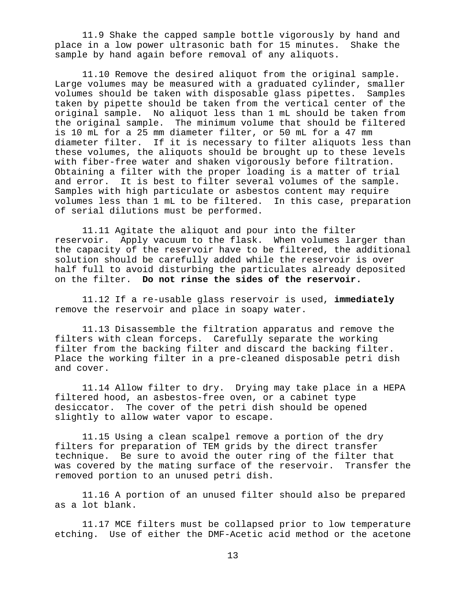11.9 Shake the capped sample bottle vigorously by hand and place in a low power ultrasonic bath for 15 minutes. Shake the sample by hand again before removal of any aliquots.

11.10 Remove the desired aliquot from the original sample. Large volumes may be measured with a graduated cylinder, smaller volumes should be taken with disposable glass pipettes. Samples taken by pipette should be taken from the vertical center of the original sample. No aliquot less than 1 mL should be taken from the original sample. The minimum volume that should be filtered is 10 mL for a 25 mm diameter filter, or 50 mL for a 47 mm diameter filter. If it is necessary to filter aliquots less than these volumes, the aliquots should be brought up to these levels with fiber-free water and shaken vigorously before filtration. Obtaining a filter with the proper loading is a matter of trial and error. It is best to filter several volumes of the sample. Samples with high particulate or asbestos content may require volumes less than 1 mL to be filtered. In this case, preparation of serial dilutions must be performed.

11.11 Agitate the aliquot and pour into the filter reservoir. Apply vacuum to the flask. When volumes larger than the capacity of the reservoir have to be filtered, the additional solution should be carefully added while the reservoir is over half full to avoid disturbing the particulates already deposited on the filter. **Do not rinse the sides of the reservoir.**

11.12 If a re-usable glass reservoir is used, **immediately** remove the reservoir and place in soapy water.

11.13 Disassemble the filtration apparatus and remove the filters with clean forceps. Carefully separate the working filter from the backing filter and discard the backing filter. Place the working filter in a pre-cleaned disposable petri dish and cover.

11.14 Allow filter to dry. Drying may take place in a HEPA filtered hood, an asbestos-free oven, or a cabinet type desiccator. The cover of the petri dish should be opened slightly to allow water vapor to escape.

11.15 Using a clean scalpel remove a portion of the dry filters for preparation of TEM grids by the direct transfer technique. Be sure to avoid the outer ring of the filter that was covered by the mating surface of the reservoir. Transfer the removed portion to an unused petri dish.

11.16 A portion of an unused filter should also be prepared as a lot blank.

11.17 MCE filters must be collapsed prior to low temperature etching. Use of either the DMF-Acetic acid method or the acetone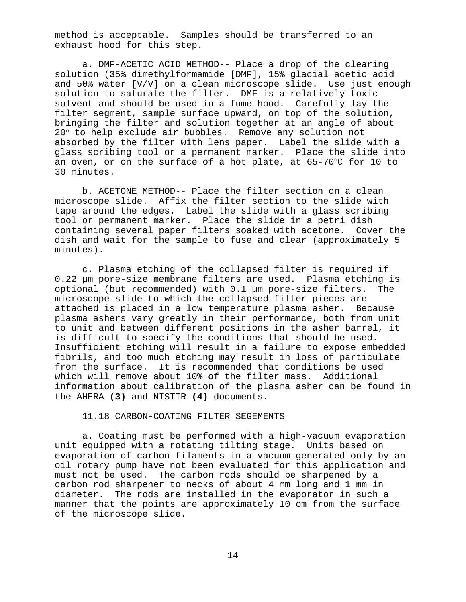method is acceptable. Samples should be transferred to an exhaust hood for this step.

a. DMF-ACETIC ACID METHOD-- Place a drop of the clearing solution (35% dimethylformamide [DMF], 15% glacial acetic acid and 50% water [V/V] on a clean microscope slide. Use just enough solution to saturate the filter. DMF is a relatively toxic solvent and should be used in a fume hood. Carefully lay the filter segment, sample surface upward, on top of the solution, bringing the filter and solution together at an angle of about 20° to help exclude air bubbles. Remove any solution not absorbed by the filter with lens paper. Label the slide with a glass scribing tool or a permanent marker. Place the slide into an oven, or on the surface of a hot plate, at  $65-70^{\circ}$ C for 10 to 30 minutes.

b. ACETONE METHOD-- Place the filter section on a clean microscope slide. Affix the filter section to the slide with tape around the edges. Label the slide with a glass scribing tool or permanent marker. Place the slide in a petri dish containing several paper filters soaked with acetone. Cover the dish and wait for the sample to fuse and clear (approximately 5 minutes).

c. Plasma etching of the collapsed filter is required if 0.22 µm pore-size membrane filters are used. Plasma etching is optional (but recommended) with 0.1 µm pore-size filters. The microscope slide to which the collapsed filter pieces are attached is placed in a low temperature plasma asher. Because plasma ashers vary greatly in their performance, both from unit to unit and between different positions in the asher barrel, it is difficult to specify the conditions that should be used. Insufficient etching will result in a failure to expose embedded fibrils, and too much etching may result in loss of particulate from the surface. It is recommended that conditions be used which will remove about 10% of the filter mass. Additional information about calibration of the plasma asher can be found in the AHERA **(3)** and NISTIR **(4)** documents.

#### 11.18 CARBON-COATING FILTER SEGEMENTS

a. Coating must be performed with a high-vacuum evaporation unit equipped with a rotating tilting stage. Units based on evaporation of carbon filaments in a vacuum generated only by an oil rotary pump have not been evaluated for this application and must not be used. The carbon rods should be sharpened by a carbon rod sharpener to necks of about 4 mm long and 1 mm in diameter. The rods are installed in the evaporator in such a manner that the points are approximately 10 cm from the surface of the microscope slide.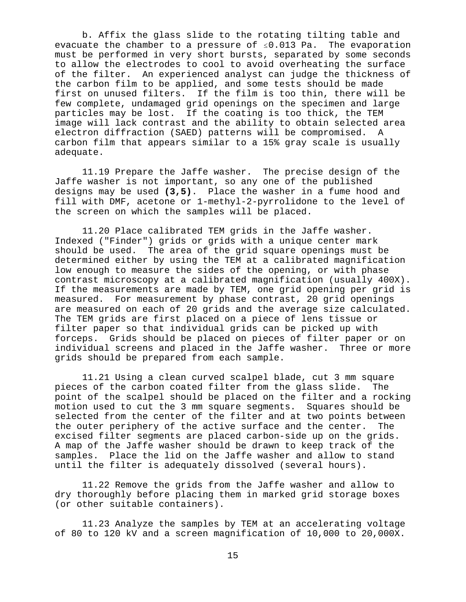b. Affix the glass slide to the rotating tilting table and evacuate the chamber to a pressure of  $\leq 0.013$  Pa. The evaporation must be performed in very short bursts, separated by some seconds to allow the electrodes to cool to avoid overheating the surface of the filter. An experienced analyst can judge the thickness of the carbon film to be applied, and some tests should be made first on unused filters. If the film is too thin, there will be few complete, undamaged grid openings on the specimen and large particles may be lost. If the coating is too thick, the TEM image will lack contrast and the ability to obtain selected area electron diffraction (SAED) patterns will be compromised. A carbon film that appears similar to a 15% gray scale is usually adequate.

11.19 Prepare the Jaffe washer. The precise design of the Jaffe washer is not important, so any one of the published designs may be used **(3,5)**. Place the washer in a fume hood and fill with DMF, acetone or 1-methyl-2-pyrrolidone to the level of the screen on which the samples will be placed.

11.20 Place calibrated TEM grids in the Jaffe washer. Indexed ("Finder") grids or grids with a unique center mark should be used. The area of the grid square openings must be determined either by using the TEM at a calibrated magnification low enough to measure the sides of the opening, or with phase contrast microscopy at a calibrated magnification (usually 400X). If the measurements are made by TEM, one grid opening per grid is measured. For measurement by phase contrast, 20 grid openings are measured on each of 20 grids and the average size calculated. The TEM grids are first placed on a piece of lens tissue or filter paper so that individual grids can be picked up with forceps. Grids should be placed on pieces of filter paper or on individual screens and placed in the Jaffe washer. Three or more grids should be prepared from each sample.

11.21 Using a clean curved scalpel blade, cut 3 mm square pieces of the carbon coated filter from the glass slide. The point of the scalpel should be placed on the filter and a rocking motion used to cut the 3 mm square segments. Squares should be selected from the center of the filter and at two points between the outer periphery of the active surface and the center. The excised filter segments are placed carbon-side up on the grids. A map of the Jaffe washer should be drawn to keep track of the samples. Place the lid on the Jaffe washer and allow to stand until the filter is adequately dissolved (several hours).

11.22 Remove the grids from the Jaffe washer and allow to dry thoroughly before placing them in marked grid storage boxes (or other suitable containers).

11.23 Analyze the samples by TEM at an accelerating voltage of 80 to 120 kV and a screen magnification of 10,000 to 20,000X.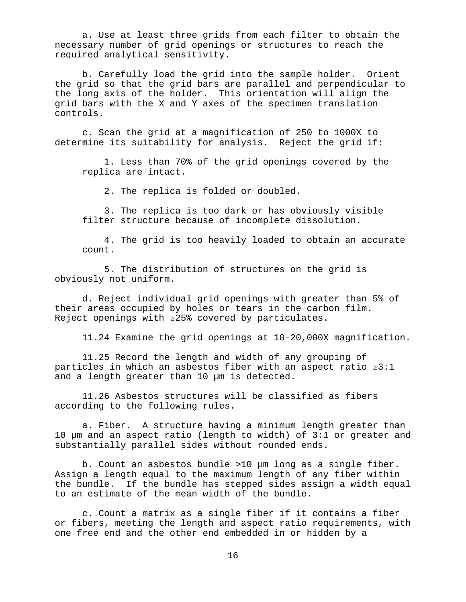a. Use at least three grids from each filter to obtain the necessary number of grid openings or structures to reach the required analytical sensitivity.

b. Carefully load the grid into the sample holder. Orient the grid so that the grid bars are parallel and perpendicular to the long axis of the holder. This orientation will align the grid bars with the X and Y axes of the specimen translation controls.

c. Scan the grid at a magnification of 250 to 1000X to determine its suitability for analysis. Reject the grid if:

1. Less than 70% of the grid openings covered by the replica are intact.

2. The replica is folded or doubled.

3. The replica is too dark or has obviously visible filter structure because of incomplete dissolution.

4. The grid is too heavily loaded to obtain an accurate count.

5. The distribution of structures on the grid is obviously not uniform.

d. Reject individual grid openings with greater than 5% of their areas occupied by holes or tears in the carbon film. Reject openings with  $\geq 25$ % covered by particulates.

11.24 Examine the grid openings at 10-20,000X magnification.

11.25 Record the length and width of any grouping of particles in which an asbestos fiber with an aspect ratio  $\geq 3:1$ and a length greater than 10 µm is detected.

11.26 Asbestos structures will be classified as fibers according to the following rules.

a. Fiber. A structure having a minimum length greater than 10 µm and an aspect ratio (length to width) of 3:1 or greater and substantially parallel sides without rounded ends.

b. Count an asbestos bundle >10 µm long as a single fiber. Assign a length equal to the maximum length of any fiber within the bundle. If the bundle has stepped sides assign a width equal to an estimate of the mean width of the bundle.

c. Count a matrix as a single fiber if it contains a fiber or fibers, meeting the length and aspect ratio requirements, with one free end and the other end embedded in or hidden by a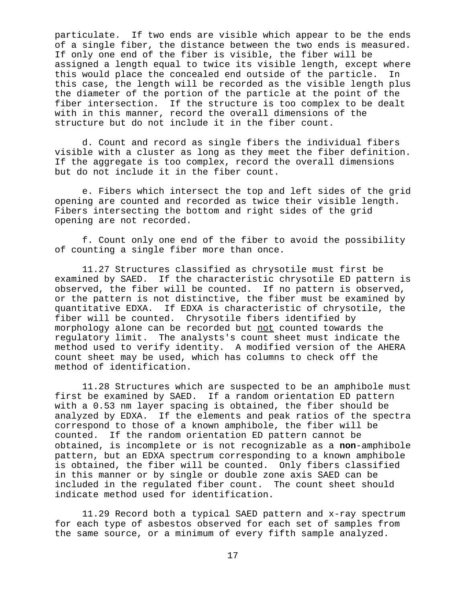particulate. If two ends are visible which appear to be the ends of a single fiber, the distance between the two ends is measured. If only one end of the fiber is visible, the fiber will be assigned a length equal to twice its visible length, except where this would place the concealed end outside of the particle. In this case, the length will be recorded as the visible length plus the diameter of the portion of the particle at the point of the fiber intersection. If the structure is too complex to be dealt with in this manner, record the overall dimensions of the structure but do not include it in the fiber count.

d. Count and record as single fibers the individual fibers visible with a cluster as long as they meet the fiber definition. If the aggregate is too complex, record the overall dimensions but do not include it in the fiber count.

e. Fibers which intersect the top and left sides of the grid opening are counted and recorded as twice their visible length. Fibers intersecting the bottom and right sides of the grid opening are not recorded.

f. Count only one end of the fiber to avoid the possibility of counting a single fiber more than once.

11.27 Structures classified as chrysotile must first be examined by SAED. If the characteristic chrysotile ED pattern is observed, the fiber will be counted. If no pattern is observed, or the pattern is not distinctive, the fiber must be examined by quantitative EDXA. If EDXA is characteristic of chrysotile, the fiber will be counted. Chrysotile fibers identified by morphology alone can be recorded but not counted towards the regulatory limit. The analysts's count sheet must indicate the method used to verify identity. A modified version of the AHERA count sheet may be used, which has columns to check off the method of identification.

11.28 Structures which are suspected to be an amphibole must first be examined by SAED. If a random orientation ED pattern with a 0.53 nm layer spacing is obtained, the fiber should be analyzed by EDXA. If the elements and peak ratios of the spectra correspond to those of a known amphibole, the fiber will be counted. If the random orientation ED pattern cannot be obtained, is incomplete or is not recognizable as a **non**-amphibole pattern, but an EDXA spectrum corresponding to a known amphibole is obtained, the fiber will be counted. Only fibers classified in this manner or by single or double zone axis SAED can be included in the regulated fiber count. The count sheet should indicate method used for identification.

11.29 Record both a typical SAED pattern and x-ray spectrum for each type of asbestos observed for each set of samples from the same source, or a minimum of every fifth sample analyzed.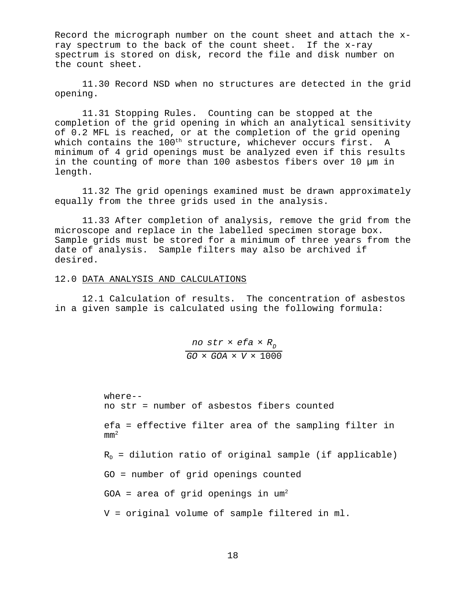Record the micrograph number on the count sheet and attach the xray spectrum to the back of the count sheet. If the x-ray spectrum is stored on disk, record the file and disk number on the count sheet.

11.30 Record NSD when no structures are detected in the grid opening.

11.31 Stopping Rules. Counting can be stopped at the completion of the grid opening in which an analytical sensitivity of 0.2 MFL is reached, or at the completion of the grid opening which contains the 100<sup>th</sup> structure, whichever occurs first. A minimum of 4 grid openings must be analyzed even if this results in the counting of more than 100 asbestos fibers over 10 µm in length.

11.32 The grid openings examined must be drawn approximately equally from the three grids used in the analysis.

11.33 After completion of analysis, remove the grid from the microscope and replace in the labelled specimen storage box. Sample grids must be stored for a minimum of three years from the date of analysis. Sample filters may also be archived if desired.

#### 12.0 DATA ANALYSIS AND CALCULATIONS

12.1 Calculation of results. The concentration of asbestos in a given sample is calculated using the following formula:

> *no str*  $\times$  *efa*  $\times$  *R*<sub>D</sub> *GO* × *GOA* × *V* × 1000

```
where--
no str = number of asbestos fibers counted
efa = effective filter area of the sampling filter in
mm<sup>2</sup>R_D = dilution ratio of original sample (if applicable)
GO = number of grid openings counted
GOA = area of grid openings in um^2V = original volume of sample filtered in ml.
```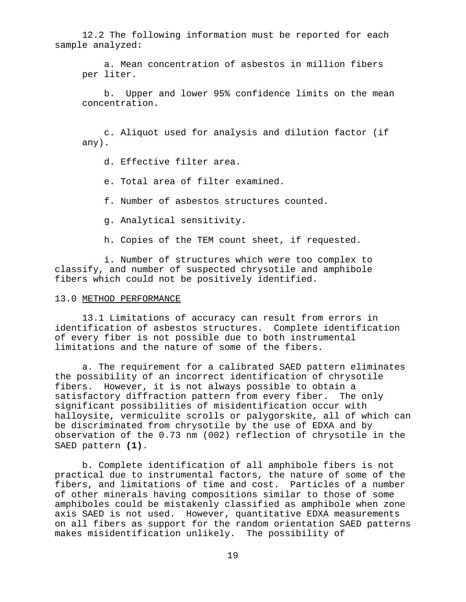12.2 The following information must be reported for each sample analyzed:

a. Mean concentration of asbestos in million fibers per liter.

b. Upper and lower 95% confidence limits on the mean concentration.

c. Aliquot used for analysis and dilution factor (if any).

d. Effective filter area.

e. Total area of filter examined.

f. Number of asbestos structures counted.

g. Analytical sensitivity.

h. Copies of the TEM count sheet, if requested.

i. Number of structures which were too complex to classify, and number of suspected chrysotile and amphibole fibers which could not be positively identified.

#### 13.0 METHOD PERFORMANCE

13.1 Limitations of accuracy can result from errors in identification of asbestos structures. Complete identification of every fiber is not possible due to both instrumental limitations and the nature of some of the fibers.

a. The requirement for a calibrated SAED pattern eliminates the possibility of an incorrect identification of chrysotile fibers. However, it is not always possible to obtain a satisfactory diffraction pattern from every fiber. The only significant possibilities of misidentification occur with halloysite, vermiculite scrolls or palygorskite, all of which can be discriminated from chrysotile by the use of EDXA and by observation of the 0.73 nm (002) reflection of chrysotile in the SAED pattern **(1)**.

b. Complete identification of all amphibole fibers is not practical due to instrumental factors, the nature of some of the fibers, and limitations of time and cost. Particles of a number of other minerals having compositions similar to those of some amphiboles could be mistakenly classified as amphibole when zone axis SAED is not used. However, quantitative EDXA measurements on all fibers as support for the random orientation SAED patterns makes misidentification unlikely. The possibility of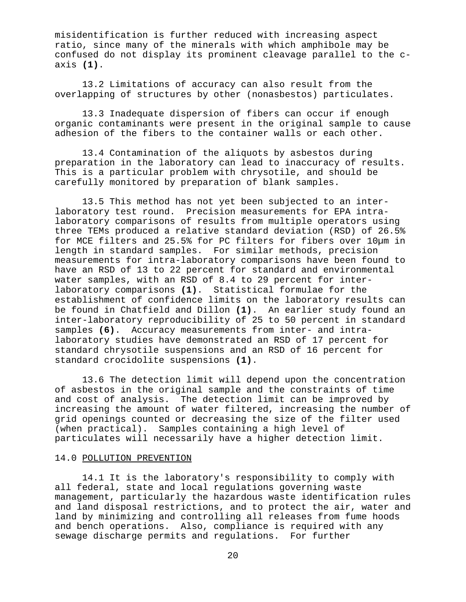misidentification is further reduced with increasing aspect ratio, since many of the minerals with which amphibole may be confused do not display its prominent cleavage parallel to the caxis **(1)**.

13.2 Limitations of accuracy can also result from the overlapping of structures by other (nonasbestos) particulates.

13.3 Inadequate dispersion of fibers can occur if enough organic contaminants were present in the original sample to cause adhesion of the fibers to the container walls or each other.

13.4 Contamination of the aliquots by asbestos during preparation in the laboratory can lead to inaccuracy of results. This is a particular problem with chrysotile, and should be carefully monitored by preparation of blank samples.

13.5 This method has not yet been subjected to an interlaboratory test round. Precision measurements for EPA intralaboratory comparisons of results from multiple operators using three TEMs produced a relative standard deviation (RSD) of 26.5% for MCE filters and 25.5% for PC filters for fibers over 10µm in length in standard samples. For similar methods, precision measurements for intra-laboratory comparisons have been found to have an RSD of 13 to 22 percent for standard and environmental water samples, with an RSD of 8.4 to 29 percent for interlaboratory comparisons **(1)**. Statistical formulae for the establishment of confidence limits on the laboratory results can be found in Chatfield and Dillon **(1)**. An earlier study found an inter-laboratory reproducibility of 25 to 50 percent in standard samples **(6)**. Accuracy measurements from inter- and intralaboratory studies have demonstrated an RSD of 17 percent for standard chrysotile suspensions and an RSD of 16 percent for standard crocidolite suspensions **(1)**.

13.6 The detection limit will depend upon the concentration of asbestos in the original sample and the constraints of time and cost of analysis. The detection limit can be improved by increasing the amount of water filtered, increasing the number of grid openings counted or decreasing the size of the filter used (when practical). Samples containing a high level of particulates will necessarily have a higher detection limit.

#### 14.0 POLLUTION PREVENTION

14.1 It is the laboratory's responsibility to comply with all federal, state and local regulations governing waste management, particularly the hazardous waste identification rules and land disposal restrictions, and to protect the air, water and land by minimizing and controlling all releases from fume hoods and bench operations. Also, compliance is required with any sewage discharge permits and regulations. For further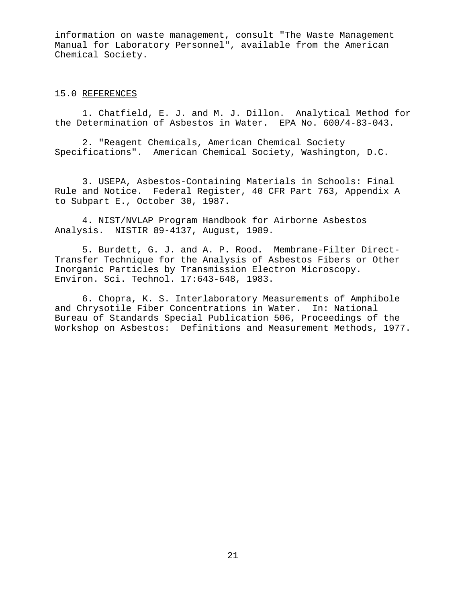information on waste management, consult "The Waste Management Manual for Laboratory Personnel", available from the American Chemical Society.

## 15.0 REFERENCES

1. Chatfield, E. J. and M. J. Dillon. Analytical Method for the Determination of Asbestos in Water. EPA No. 600/4-83-043.

2. "Reagent Chemicals, American Chemical Society Specifications". American Chemical Society, Washington, D.C.

3. USEPA, Asbestos-Containing Materials in Schools: Final Rule and Notice. Federal Register, 40 CFR Part 763, Appendix A to Subpart E., October 30, 1987.

4. NIST/NVLAP Program Handbook for Airborne Asbestos Analysis. NISTIR 89-4137, August, 1989.

5. Burdett, G. J. and A. P. Rood. Membrane-Filter Direct-Transfer Technique for the Analysis of Asbestos Fibers or Other Inorganic Particles by Transmission Electron Microscopy. Environ. Sci. Technol. 17:643-648, 1983.

6. Chopra, K. S. Interlaboratory Measurements of Amphibole and Chrysotile Fiber Concentrations in Water. In: National Bureau of Standards Special Publication 506, Proceedings of the Workshop on Asbestos: Definitions and Measurement Methods, 1977.